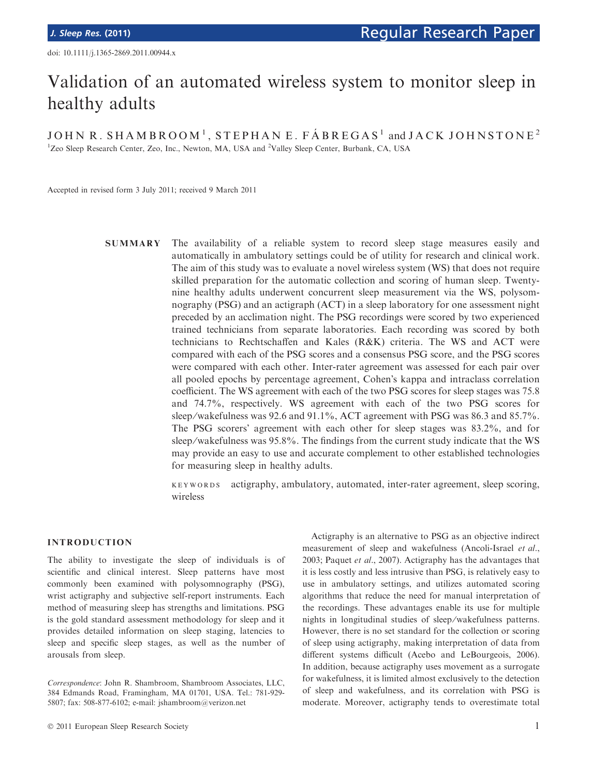# Validation of an automated wireless system to monitor sleep in healthy adults

JOHN R. SHAMBROOM<sup>1</sup>, STEPHAN E. FÁBREGAS<sup>1</sup> and JACK JOHNSTONE<sup>2</sup> <sup>1</sup>Zeo Sleep Research Center, Zeo, Inc., Newton, MA, USA and <sup>2</sup>Valley Sleep Center, Burbank, CA, USA

Accepted in revised form 3 July 2011; received 9 March 2011

SUMMARY The availability of a reliable system to record sleep stage measures easily and automatically in ambulatory settings could be of utility for research and clinical work. The aim of this study was to evaluate a novel wireless system (WS) that does not require skilled preparation for the automatic collection and scoring of human sleep. Twentynine healthy adults underwent concurrent sleep measurement via the WS, polysomnography (PSG) and an actigraph (ACT) in a sleep laboratory for one assessment night preceded by an acclimation night. The PSG recordings were scored by two experienced trained technicians from separate laboratories. Each recording was scored by both technicians to Rechtschaffen and Kales (R&K) criteria. The WS and ACT were compared with each of the PSG scores and a consensus PSG score, and the PSG scores were compared with each other. Inter-rater agreement was assessed for each pair over all pooled epochs by percentage agreement, Cohen's kappa and intraclass correlation coefficient. The WS agreement with each of the two PSG scores for sleep stages was 75.8 and 74.7%, respectively. WS agreement with each of the two PSG scores for sleep/wakefulness was 92.6 and 91.1%, ACT agreement with PSG was 86.3 and 85.7%. The PSG scorers' agreement with each other for sleep stages was 83.2%, and for sleep/wakefulness was 95.8%. The findings from the current study indicate that the WS may provide an easy to use and accurate complement to other established technologies for measuring sleep in healthy adults.

> keywords actigraphy, ambulatory, automated, inter-rater agreement, sleep scoring, wireless

## INTRODUCTION

The ability to investigate the sleep of individuals is of scientific and clinical interest. Sleep patterns have most commonly been examined with polysomnography (PSG), wrist actigraphy and subjective self-report instruments. Each method of measuring sleep has strengths and limitations. PSG is the gold standard assessment methodology for sleep and it provides detailed information on sleep staging, latencies to sleep and specific sleep stages, as well as the number of arousals from sleep.

Actigraphy is an alternative to PSG as an objective indirect measurement of sleep and wakefulness (Ancoli-Israel et al., 2003; Paquet et al., 2007). Actigraphy has the advantages that it is less costly and less intrusive than PSG, is relatively easy to use in ambulatory settings, and utilizes automated scoring algorithms that reduce the need for manual interpretation of the recordings. These advantages enable its use for multiple nights in longitudinal studies of sleep ⁄ wakefulness patterns. However, there is no set standard for the collection or scoring of sleep using actigraphy, making interpretation of data from different systems difficult (Acebo and LeBourgeois, 2006). In addition, because actigraphy uses movement as a surrogate for wakefulness, it is limited almost exclusively to the detection of sleep and wakefulness, and its correlation with PSG is moderate. Moreover, actigraphy tends to overestimate total

Correspondence: John R. Shambroom, Shambroom Associates, LLC, 384 Edmands Road, Framingham, MA 01701, USA. Tel.: 781-929- 5807; fax: 508-877-6102; e-mail: jshambroom@verizon.net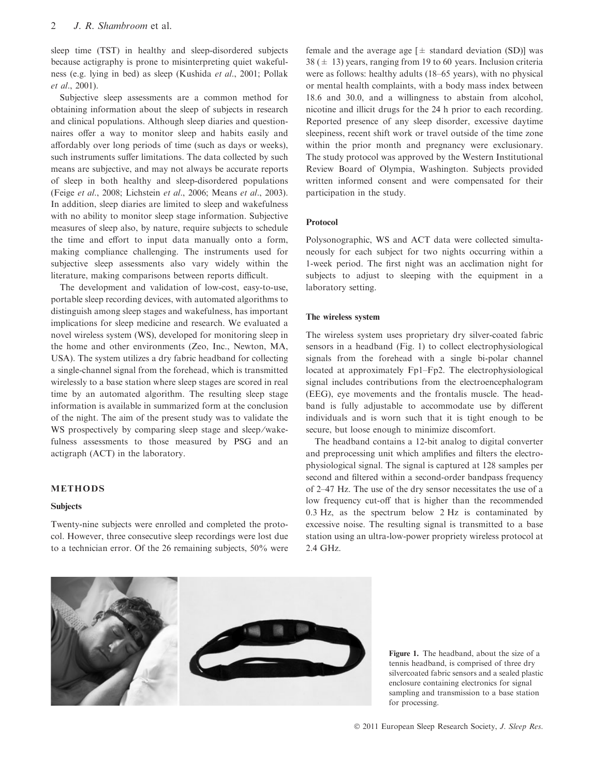sleep time (TST) in healthy and sleep-disordered subjects because actigraphy is prone to misinterpreting quiet wakefulness (e.g. lying in bed) as sleep (Kushida et al., 2001; Pollak et al., 2001).

Subjective sleep assessments are a common method for obtaining information about the sleep of subjects in research and clinical populations. Although sleep diaries and questionnaires offer a way to monitor sleep and habits easily and affordably over long periods of time (such as days or weeks), such instruments suffer limitations. The data collected by such means are subjective, and may not always be accurate reports of sleep in both healthy and sleep-disordered populations (Feige et al., 2008; Lichstein et al., 2006; Means et al., 2003). In addition, sleep diaries are limited to sleep and wakefulness with no ability to monitor sleep stage information. Subjective measures of sleep also, by nature, require subjects to schedule the time and effort to input data manually onto a form, making compliance challenging. The instruments used for subjective sleep assessments also vary widely within the literature, making comparisons between reports difficult.

The development and validation of low-cost, easy-to-use, portable sleep recording devices, with automated algorithms to distinguish among sleep stages and wakefulness, has important implications for sleep medicine and research. We evaluated a novel wireless system (WS), developed for monitoring sleep in the home and other environments (Zeo, Inc., Newton, MA, USA). The system utilizes a dry fabric headband for collecting a single-channel signal from the forehead, which is transmitted wirelessly to a base station where sleep stages are scored in real time by an automated algorithm. The resulting sleep stage information is available in summarized form at the conclusion of the night. The aim of the present study was to validate the WS prospectively by comparing sleep stage and sleep/wakefulness assessments to those measured by PSG and an actigraph (ACT) in the laboratory.

## METHODS

#### **Subjects**

Twenty-nine subjects were enrolled and completed the protocol. However, three consecutive sleep recordings were lost due to a technician error. Of the 26 remaining subjects, 50% were female and the average age  $[\pm$  standard deviation (SD)] was  $38 (\pm 13)$  years, ranging from 19 to 60 years. Inclusion criteria were as follows: healthy adults (18–65 years), with no physical or mental health complaints, with a body mass index between 18.6 and 30.0, and a willingness to abstain from alcohol, nicotine and illicit drugs for the 24 h prior to each recording. Reported presence of any sleep disorder, excessive daytime sleepiness, recent shift work or travel outside of the time zone within the prior month and pregnancy were exclusionary. The study protocol was approved by the Western Institutional Review Board of Olympia, Washington. Subjects provided written informed consent and were compensated for their participation in the study.

#### Protocol

Polysonographic, WS and ACT data were collected simultaneously for each subject for two nights occurring within a 1-week period. The first night was an acclimation night for subjects to adjust to sleeping with the equipment in a laboratory setting.

## The wireless system

The wireless system uses proprietary dry silver-coated fabric sensors in a headband (Fig. 1) to collect electrophysiological signals from the forehead with a single bi-polar channel located at approximately Fp1–Fp2. The electrophysiological signal includes contributions from the electroencephalogram (EEG), eye movements and the frontalis muscle. The headband is fully adjustable to accommodate use by different individuals and is worn such that it is tight enough to be secure, but loose enough to minimize discomfort.

The headband contains a 12-bit analog to digital converter and preprocessing unit which amplifies and filters the electrophysiological signal. The signal is captured at 128 samples per second and filtered within a second-order bandpass frequency of 2–47 Hz. The use of the dry sensor necessitates the use of a low frequency cut-off that is higher than the recommended 0.3 Hz, as the spectrum below 2 Hz is contaminated by excessive noise. The resulting signal is transmitted to a base station using an ultra-low-power propriety wireless protocol at 2.4 GHz.



Figure 1. The headband, about the size of a tennis headband, is comprised of three dry silvercoated fabric sensors and a sealed plastic enclosure containing electronics for signal sampling and transmission to a base station for processing.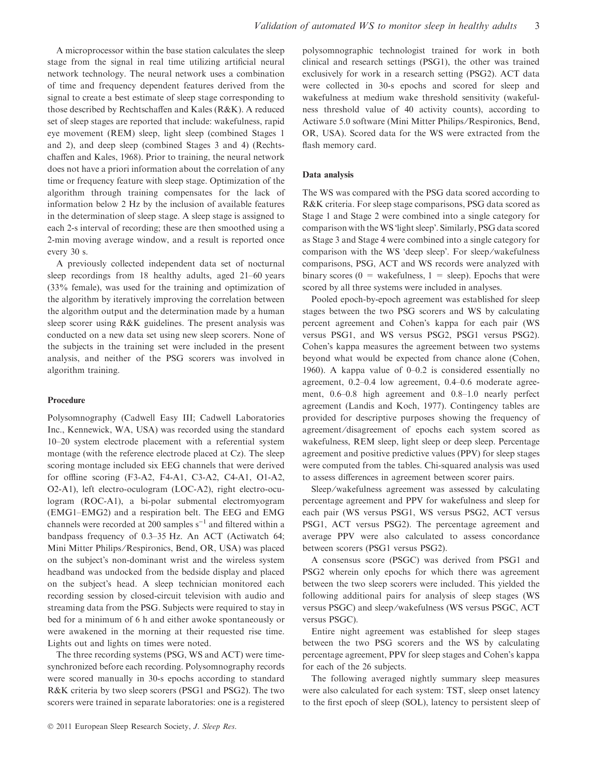A microprocessor within the base station calculates the sleep stage from the signal in real time utilizing artificial neural network technology. The neural network uses a combination of time and frequency dependent features derived from the signal to create a best estimate of sleep stage corresponding to those described by Rechtschaffen and Kales (R&K). A reduced set of sleep stages are reported that include: wakefulness, rapid eye movement (REM) sleep, light sleep (combined Stages 1 and 2), and deep sleep (combined Stages 3 and 4) (Rechtschaffen and Kales, 1968). Prior to training, the neural network does not have a priori information about the correlation of any time or frequency feature with sleep stage. Optimization of the algorithm through training compensates for the lack of information below 2 Hz by the inclusion of available features in the determination of sleep stage. A sleep stage is assigned to each 2-s interval of recording; these are then smoothed using a 2-min moving average window, and a result is reported once every 30 s.

A previously collected independent data set of nocturnal sleep recordings from 18 healthy adults, aged 21–60 years (33% female), was used for the training and optimization of the algorithm by iteratively improving the correlation between the algorithm output and the determination made by a human sleep scorer using R&K guidelines. The present analysis was conducted on a new data set using new sleep scorers. None of the subjects in the training set were included in the present analysis, and neither of the PSG scorers was involved in algorithm training.

#### Procedure

Polysomnography (Cadwell Easy III; Cadwell Laboratories Inc., Kennewick, WA, USA) was recorded using the standard 10–20 system electrode placement with a referential system montage (with the reference electrode placed at Cz). The sleep scoring montage included six EEG channels that were derived for offline scoring (F3-A2, F4-A1, C3-A2, C4-A1, O1-A2, O2-A1), left electro-oculogram (LOC-A2), right electro-oculogram (ROC-A1), a bi-polar submental electromyogram (EMG1–EMG2) and a respiration belt. The EEG and EMG channels were recorded at 200 samples  $s^{-1}$  and filtered within a bandpass frequency of 0.3–35 Hz. An ACT (Actiwatch 64; Mini Mitter Philips ⁄ Respironics, Bend, OR, USA) was placed on the subject's non-dominant wrist and the wireless system headband was undocked from the bedside display and placed on the subject's head. A sleep technician monitored each recording session by closed-circuit television with audio and streaming data from the PSG. Subjects were required to stay in bed for a minimum of 6 h and either awoke spontaneously or were awakened in the morning at their requested rise time. Lights out and lights on times were noted.

The three recording systems (PSG, WS and ACT) were timesynchronized before each recording. Polysomnography records were scored manually in 30-s epochs according to standard R&K criteria by two sleep scorers (PSG1 and PSG2). The two scorers were trained in separate laboratories: one is a registered

polysomnographic technologist trained for work in both clinical and research settings (PSG1), the other was trained exclusively for work in a research setting (PSG2). ACT data were collected in 30-s epochs and scored for sleep and wakefulness at medium wake threshold sensitivity (wakefulness threshold value of 40 activity counts), according to Actiware 5.0 software (Mini Mitter Philips ⁄ Respironics, Bend, OR, USA). Scored data for the WS were extracted from the flash memory card.

#### Data analysis

The WS was compared with the PSG data scored according to R&K criteria. For sleep stage comparisons, PSG data scored as Stage 1 and Stage 2 were combined into a single category for comparison with the WS 'light sleep'. Similarly, PSG data scored as Stage 3 and Stage 4 were combined into a single category for comparison with the WS 'deep sleep'. For sleep/wakefulness comparisons, PSG, ACT and WS records were analyzed with binary scores ( $0 =$  wakefulness,  $1 =$  sleep). Epochs that were scored by all three systems were included in analyses.

Pooled epoch-by-epoch agreement was established for sleep stages between the two PSG scorers and WS by calculating percent agreement and Cohen's kappa for each pair (WS versus PSG1, and WS versus PSG2, PSG1 versus PSG2). Cohen's kappa measures the agreement between two systems beyond what would be expected from chance alone (Cohen, 1960). A kappa value of 0–0.2 is considered essentially no agreement, 0.2–0.4 low agreement, 0.4–0.6 moderate agreement, 0.6–0.8 high agreement and 0.8–1.0 nearly perfect agreement (Landis and Koch, 1977). Contingency tables are provided for descriptive purposes showing the frequency of agreement ⁄ disagreement of epochs each system scored as wakefulness, REM sleep, light sleep or deep sleep. Percentage agreement and positive predictive values (PPV) for sleep stages were computed from the tables. Chi-squared analysis was used to assess differences in agreement between scorer pairs.

Sleep/wakefulness agreement was assessed by calculating percentage agreement and PPV for wakefulness and sleep for each pair (WS versus PSG1, WS versus PSG2, ACT versus PSG1, ACT versus PSG2). The percentage agreement and average PPV were also calculated to assess concordance between scorers (PSG1 versus PSG2).

A consensus score (PSGC) was derived from PSG1 and PSG2 wherein only epochs for which there was agreement between the two sleep scorers were included. This yielded the following additional pairs for analysis of sleep stages (WS versus PSGC) and sleep ⁄ wakefulness (WS versus PSGC, ACT versus PSGC).

Entire night agreement was established for sleep stages between the two PSG scorers and the WS by calculating percentage agreement, PPV for sleep stages and Cohen's kappa for each of the 26 subjects.

The following averaged nightly summary sleep measures were also calculated for each system: TST, sleep onset latency to the first epoch of sleep (SOL), latency to persistent sleep of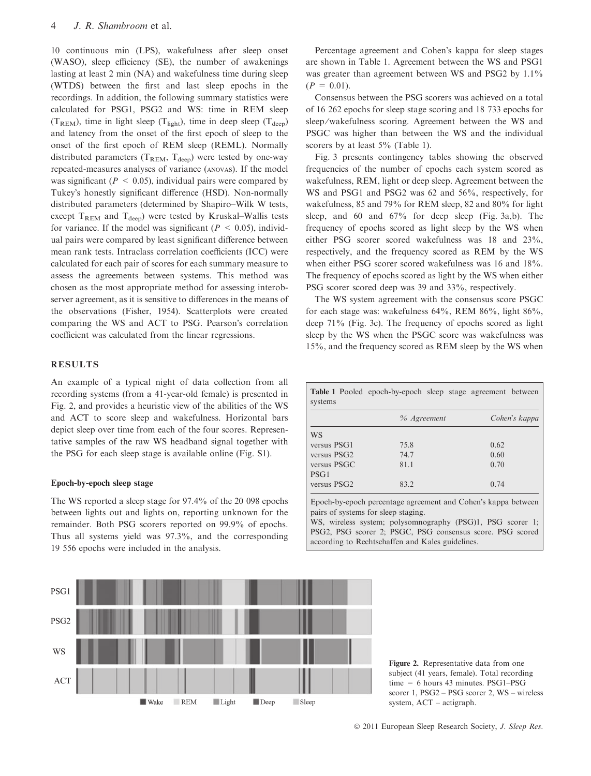10 continuous min (LPS), wakefulness after sleep onset (WASO), sleep efficiency (SE), the number of awakenings lasting at least 2 min (NA) and wakefulness time during sleep (WTDS) between the first and last sleep epochs in the recordings. In addition, the following summary statistics were calculated for PSG1, PSG2 and WS: time in REM sleep  $(T_{\text{REM}})$ , time in light sleep  $(T_{\text{light}})$ , time in deep sleep  $(T_{\text{deep}})$ and latency from the onset of the first epoch of sleep to the onset of the first epoch of REM sleep (REML). Normally distributed parameters ( $T_{\text{REM}}$ ,  $T_{\text{deen}}$ ) were tested by one-way repeated-measures analyses of variance (anovas). If the model was significant ( $P < 0.05$ ), individual pairs were compared by Tukey's honestly significant difference (HSD). Non-normally distributed parameters (determined by Shapiro–Wilk W tests, except  $T_{\text{REM}}$  and  $T_{\text{deen}}$ ) were tested by Kruskal–Wallis tests for variance. If the model was significant ( $P < 0.05$ ), individual pairs were compared by least significant difference between mean rank tests. Intraclass correlation coefficients (ICC) were calculated for each pair of scores for each summary measure to assess the agreements between systems. This method was chosen as the most appropriate method for assessing interobserver agreement, as it is sensitive to differences in the means of the observations (Fisher, 1954). Scatterplots were created comparing the WS and ACT to PSG. Pearson's correlation coefficient was calculated from the linear regressions.

# RESULTS

An example of a typical night of data collection from all recording systems (from a 41-year-old female) is presented in Fig. 2, and provides a heuristic view of the abilities of the WS and ACT to score sleep and wakefulness. Horizontal bars depict sleep over time from each of the four scores. Representative samples of the raw WS headband signal together with the PSG for each sleep stage is available online (Fig. S1).

#### Epoch-by-epoch sleep stage

The WS reported a sleep stage for 97.4% of the 20 098 epochs between lights out and lights on, reporting unknown for the remainder. Both PSG scorers reported on 99.9% of epochs. Thus all systems yield was 97.3%, and the corresponding 19 556 epochs were included in the analysis.



Consensus between the PSG scorers was achieved on a total of 16 262 epochs for sleep stage scoring and 18 733 epochs for sleep/wakefulness scoring. Agreement between the WS and PSGC was higher than between the WS and the individual scorers by at least 5% (Table 1).

Fig. 3 presents contingency tables showing the observed frequencies of the number of epochs each system scored as wakefulness, REM, light or deep sleep. Agreement between the WS and PSG1 and PSG2 was 62 and 56%, respectively, for wakefulness, 85 and 79% for REM sleep, 82 and 80% for light sleep, and 60 and  $67\%$  for deep sleep (Fig. 3a,b). The frequency of epochs scored as light sleep by the WS when either PSG scorer scored wakefulness was 18 and 23%, respectively, and the frequency scored as REM by the WS when either PSG scorer scored wakefulness was 16 and 18%. The frequency of epochs scored as light by the WS when either PSG scorer scored deep was 39 and 33%, respectively.

The WS system agreement with the consensus score PSGC for each stage was: wakefulness 64%, REM 86%, light 86%, deep 71% (Fig. 3c). The frequency of epochs scored as light sleep by the WS when the PSGC score was wakefulness was 15%, and the frequency scored as REM sleep by the WS when

|             | % Agreement | Cohen's kappa |  |
|-------------|-------------|---------------|--|
| WS          |             |               |  |
| versus PSG1 | 75.8        | 0.62          |  |
| versus PSG2 | 74.7        | 0.60          |  |
| versus PSGC | 81.1        | 0.70          |  |
| PSG1        |             |               |  |
| versus PSG2 | 83.2        | 0.74          |  |

Table 1 Pooled epoch-by-epoch sleep stage agreement between

Epoch-by-epoch percentage agreement and Cohen's kappa between pairs of systems for sleep staging.

WS, wireless system; polysomnography (PSG)1, PSG scorer 1; PSG2, PSG scorer 2; PSGC, PSG consensus score. PSG scored according to Rechtschaffen and Kales guidelines.

PSG1 PSG<sub>2</sub> **WS ACT** REM  $\blacksquare$  Wake Light Sleep  $\blacksquare$  Deep

Figure 2. Representative data from one subject (41 years, female). Total recording time = 6 hours 43 minutes. PSG1–PSG scorer 1, PSG2 – PSG scorer 2, WS – wireless system, ACT – actigraph.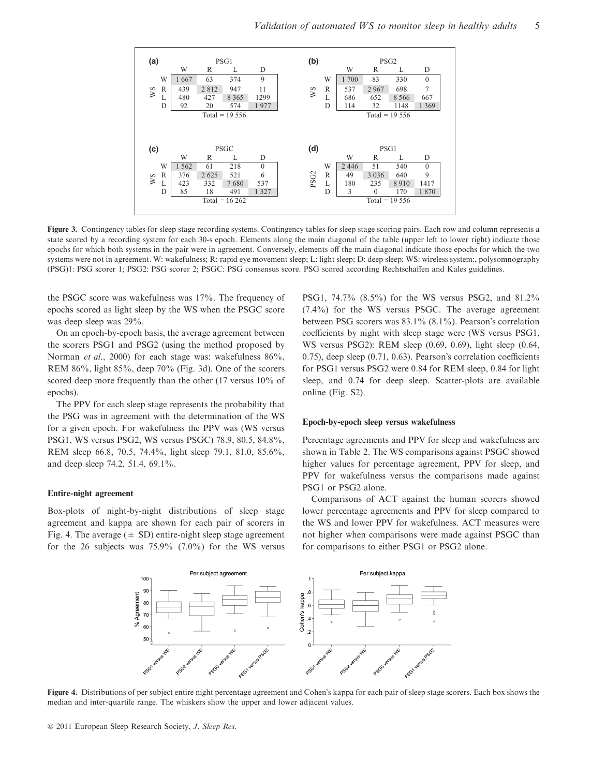

Figure 3. Contingency tables for sleep stage recording systems. Contingency tables for sleep stage scoring pairs. Each row and column represents a state scored by a recording system for each 30-s epoch. Elements along the main diagonal of the table (upper left to lower right) indicate those epochs for which both systems in the pair were in agreement. Conversely, elements off the main diagonal indicate those epochs for which the two systems were not in agreement. W: wakefulness; R: rapid eye movement sleep; L: light sleep; D: deep sleep; WS: wireless system:, polysomnography (PSG)1: PSG scorer 1; PSG2: PSG scorer 2; PSGC: PSG consensus score. PSG scored according Rechtschaffen and Kales guidelines.

the PSGC score was wakefulness was 17%. The frequency of epochs scored as light sleep by the WS when the PSGC score was deep sleep was 29%.

On an epoch-by-epoch basis, the average agreement between the scorers PSG1 and PSG2 (using the method proposed by Norman *et al.*, 2000) for each stage was: wakefulness  $86\%$ , REM 86%, light 85%, deep 70% (Fig. 3d). One of the scorers scored deep more frequently than the other (17 versus 10% of epochs).

The PPV for each sleep stage represents the probability that the PSG was in agreement with the determination of the WS for a given epoch. For wakefulness the PPV was (WS versus PSG1, WS versus PSG2, WS versus PSGC) 78.9, 80.5, 84.8%, REM sleep 66.8, 70.5, 74.4%, light sleep 79.1, 81.0, 85.6%, and deep sleep 74.2, 51.4, 69.1%.

#### Entire-night agreement

Box-plots of night-by-night distributions of sleep stage agreement and kappa are shown for each pair of scorers in Fig. 4. The average  $(\pm SD)$  entire-night sleep stage agreement for the 26 subjects was  $75.9\%$   $(7.0\%)$  for the WS versus PSG1, 74.7% (8.5%) for the WS versus PSG2, and 81.2% (7.4%) for the WS versus PSGC. The average agreement between PSG scorers was  $83.1\%$  (8.1%). Pearson's correlation coefficients by night with sleep stage were (WS versus PSG1, WS versus PSG2): REM sleep (0.69, 0.69), light sleep (0.64,  $(0.75)$ , deep sleep  $(0.71, 0.63)$ . Pearson's correlation coefficients for PSG1 versus PSG2 were 0.84 for REM sleep, 0.84 for light sleep, and 0.74 for deep sleep. Scatter-plots are available online (Fig. S2).

### Epoch-by-epoch sleep versus wakefulness

Percentage agreements and PPV for sleep and wakefulness are shown in Table 2. The WS comparisons against PSGC showed higher values for percentage agreement, PPV for sleep, and PPV for wakefulness versus the comparisons made against PSG1 or PSG2 alone.

Comparisons of ACT against the human scorers showed lower percentage agreements and PPV for sleep compared to the WS and lower PPV for wakefulness. ACT measures were not higher when comparisons were made against PSGC than for comparisons to either PSG1 or PSG2 alone.



Figure 4. Distributions of per subject entire night percentage agreement and Cohen's kappa for each pair of sleep stage scorers. Each box shows the median and inter-quartile range. The whiskers show the upper and lower adjacent values.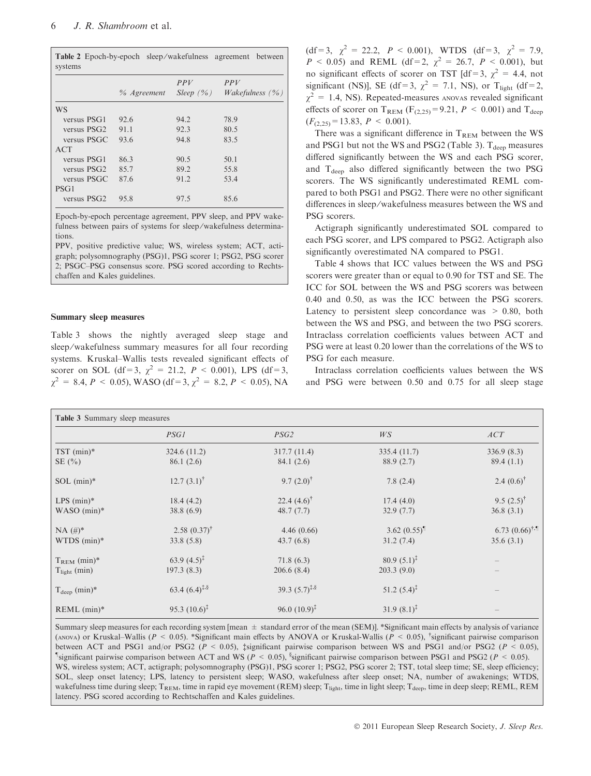| systems                 |             |                      | <b>Table 2</b> Epoch-by-epoch sleep/wakefulness agreement between |
|-------------------------|-------------|----------------------|-------------------------------------------------------------------|
|                         | % Agreement | PPV<br>Sleep $(\% )$ | PPV<br><i>Wakefulness</i> $(\% )$                                 |
| WS                      |             |                      |                                                                   |
| versus PSG1             | 92.6        | 94.2                 | 78.9                                                              |
| versus PSG <sub>2</sub> | 91.1        | 92.3                 | 80.5                                                              |
| versus PSGC             | 93.6        | 94.8                 | 83.5                                                              |
| ACT                     |             |                      |                                                                   |
| versus PSG1             | 86.3        | 90.5                 | 50.1                                                              |
| versus PSG2             | 85.7        | 89.2                 | 55.8                                                              |
| versus PSGC             | 87.6        | 91.2                 | 53.4                                                              |
| PSG1                    |             |                      |                                                                   |
| versus PSG <sub>2</sub> | 95.8        | 97.5                 | 85.6                                                              |

Epoch-by-epoch percentage agreement, PPV sleep, and PPV wakefulness between pairs of systems for sleep/wakefulness determinations.

PPV, positive predictive value; WS, wireless system; ACT, actigraph; polysomnography (PSG)1, PSG scorer 1; PSG2, PSG scorer 2; PSGC–PSG consensus score. PSG scored according to Rechtschaffen and Kales guidelines.

#### Summary sleep measures

Table 3 shows the nightly averaged sleep stage and sleep/wakefulness summary measures for all four recording systems. Kruskal–Wallis tests revealed significant effects of scorer on SOL (df = 3,  $\gamma^2 = 21.2$ ,  $P < 0.001$ ), LPS (df = 3,  $\chi^2 = 8.4, P < 0.05$ ), WASO (df = 3,  $\chi^2 = 8.2, P < 0.05$ ), NA

(df = 3,  $\chi^2 = 22.2$ ,  $P < 0.001$ ), WTDS (df = 3,  $\chi^2 = 7.9$ ,  $P < 0.05$ ) and REML (df = 2,  $\chi^2 = 26.7$ ,  $P < 0.001$ ), but no significant effects of scorer on TST [df = 3,  $\chi^2 = 4.4$ , not significant (NS)], SE (df = 3,  $\chi^2$  = 7.1, NS), or T<sub>light</sub> (df = 2,  $\gamma^2$  = 1.4, NS). Repeated-measures anovas revealed significant effects of scorer on T<sub>REM</sub> ( $F<sub>(2,25)</sub> = 9.21$ ,  $P < 0.001$ ) and T<sub>deep</sub>  $(F<sub>(2,25)</sub> = 13.83, P < 0.001).$ 

There was a significant difference in  $T_{\text{REM}}$  between the WS and PSG1 but not the WS and PSG2 (Table 3).  $T_{\text{deen}}$  measures differed significantly between the WS and each PSG scorer, and  $T_{deep}$  also differed significantly between the two PSG scorers. The WS significantly underestimated REML compared to both PSG1 and PSG2. There were no other significant differences in sleep ⁄ wakefulness measures between the WS and PSG scorers.

Actigraph significantly underestimated SOL compared to each PSG scorer, and LPS compared to PSG2. Actigraph also significantly overestimated NA compared to PSG1.

Table 4 shows that ICC values between the WS and PSG scorers were greater than or equal to 0.90 for TST and SE. The ICC for SOL between the WS and PSG scorers was between 0.40 and 0.50, as was the ICC between the PSG scorers. Latency to persistent sleep concordance was  $> 0.80$ , both between the WS and PSG, and between the two PSG scorers. Intraclass correlation coefficients values between ACT and PSG were at least 0.20 lower than the correlations of the WS to PSG for each measure.

Intraclass correlation coefficients values between the WS and PSG were between 0.50 and 0.75 for all sleep stage

| <b>Table 3 Summary sleep measures</b> |                           |                           |                          |                          |  |
|---------------------------------------|---------------------------|---------------------------|--------------------------|--------------------------|--|
|                                       | PSG1                      | PSG2                      | WS                       | ACT                      |  |
| $TST$ (min)*                          | 324.6(11.2)               | 317.7 (11.4)              | 335.4 (11.7)             | 336.9(8.3)               |  |
| SE(%)                                 | 86.1(2.6)                 | 84.1 (2.6)                | 88.9(2.7)                | 89.4(1.1)                |  |
| $SOL$ (min) $*$                       | 12.7 $(3.1)$ <sup>†</sup> | 9.7 $(2.0)^{\dagger}$     | 7.8(2.4)                 | 2.4 $(0.6)$ <sup>†</sup> |  |
| $LPS$ (min)*                          | 18.4(4.2)                 | 22.4 $(4.6)$ <sup>†</sup> | 17.4(4.0)                | 9.5 $(2.5)^{\dagger}$    |  |
| $WASO$ (min)*                         | 38.8(6.9)                 | 48.7(7.7)                 | 32.9(7.7)                | 36.8(3.1)                |  |
| $NA$ (#)*                             | $2.58(0.37)^{\dagger}$    | 4.46(0.66)                | 3.62 $(0.55)^{\text{T}}$ | $6.73 (0.66)^{†}$ .      |  |
| $WTDS$ (min) $*$                      | 33.8(5.8)                 | 43.7(6.8)                 | 31.2(7.4)                | 35.6(3.1)                |  |
| $T_{\rm REM}$ (min)*                  | 63.9 $(4.5)^{\ddagger}$   | 71.8(6.3)                 | $80.9(5.1)^{\ddagger}$   |                          |  |
| $T_{light}$ (min)                     | 197.3(8.3)                | 206.6(8.4)                | 203.3(9.0)               |                          |  |
| $T_{\text{deep}}$ (min)*              | 63.4 $(6.4)^{4.8}$        | 39.3 $(5.7)^{1.8}$        | $51.2 (5.4)^{4}$         |                          |  |
| $REML$ (min)*                         | 95.3 $(10.6)^{\ddagger}$  | 96.0 $(10.9)^{\ddagger}$  | $31.9(8.1)^{\ddagger}$   |                          |  |

Summary sleep measures for each recording system [mean  $\pm$  standard error of the mean (SEM)]. \*Significant main effects by analysis of variance (ANOVA) or Kruskal–Wallis ( $P < 0.05$ ). \*Significant main effects by ANOVA or Kruskal-Wallis ( $P < 0.05$ ), \*significant pairwise comparison between ACT and PSG1 and/or PSG2 ( $P < 0.05$ ), ‡significant pairwise comparison between WS and PSG1 and/or PSG2 ( $P < 0.05$ ), significant pairwise comparison between ACT and WS ( $P < 0.05$ ), <sup>§</sup>significant pairwise comparison between PSG1 and PSG2 ( $P < 0.05$ ). WS, wireless system; ACT, actigraph; polysomnography (PSG)1, PSG scorer 1; PSG2, PSG scorer 2; TST, total sleep time; SE, sleep efficiency; SOL, sleep onset latency; LPS, latency to persistent sleep; WASO, wakefulness after sleep onset; NA, number of awakenings; WTDS, wakefulness time during sleep;  $T_{\text{REM}}$ , time in rapid eye movement (REM) sleep;  $T_{\text{light}}$ , time in light sleep;  $T_{\text{deep}}$ , time in deep sleep; REML, REM latency. PSG scored according to Rechtschaffen and Kales guidelines.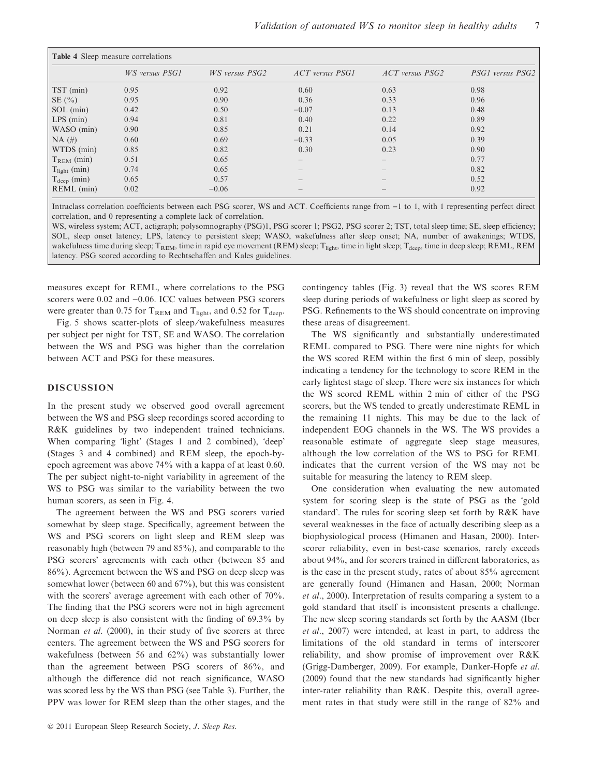| <b>Table 4</b> Sleep measure correlations |                |                |                   |                   |                  |  |  |
|-------------------------------------------|----------------|----------------|-------------------|-------------------|------------------|--|--|
|                                           | WS versus PSG1 | WS versus PSG2 | ACT versus PSG1   | ACT versus PSG2   | PSG1 versus PSG2 |  |  |
| $TST$ (min)                               | 0.95           | 0.92           | 0.60              | 0.63              | 0.98             |  |  |
| SE(%)                                     | 0.95           | 0.90           | 0.36              | 0.33              | 0.96             |  |  |
| SOL (min)                                 | 0.42           | 0.50           | $-0.07$           | 0.13              | 0.48             |  |  |
| $LPS$ (min)                               | 0.94           | 0.81           | 0.40              | 0.22              | 0.89             |  |  |
| WASO (min)                                | 0.90           | 0.85           | 0.21              | 0.14              | 0.92             |  |  |
| $NA$ (#)                                  | 0.60           | 0.69           | $-0.33$           | 0.05              | 0.39             |  |  |
| WTDS (min)                                | 0.85           | 0.82           | 0.30              | 0.23              | 0.90             |  |  |
| $T_{\text{REM}}$ (min)                    | 0.51           | 0.65           | $\qquad \qquad -$ | $\qquad \qquad -$ | 0.77             |  |  |
| $T_{light}$ (min)                         | 0.74           | 0.65           |                   |                   | 0.82             |  |  |
| $T_{\text{deep}}$ (min)                   | 0.65           | 0.57           |                   |                   | 0.52             |  |  |
| $REML$ (min)                              | 0.02           | $-0.06$        | $\qquad \qquad -$ |                   | 0.92             |  |  |

Intraclass correlation coefficients between each PSG scorer, WS and ACT. Coefficients range from  $-1$  to 1, with 1 representing perfect direct correlation, and 0 representing a complete lack of correlation.

WS, wireless system; ACT, actigraph; polysomnography (PSG)1, PSG scorer 1; PSG2, PSG scorer 2; TST, total sleep time; SE, sleep efficiency; SOL, sleep onset latency; LPS, latency to persistent sleep; WASO, wakefulness after sleep onset; NA, number of awakenings; WTDS, wakefulness time during sleep;  $T_{\text{REM}}$ , time in rapid eye movement (REM) sleep;  $T_{\text{light}}$ , time in light sleep;  $T_{\text{deep}}$ , time in deep sleep; REML, REM latency. PSG scored according to Rechtschaffen and Kales guidelines.

measures except for REML, where correlations to the PSG scorers were  $0.02$  and  $-0.06$ . ICC values between PSG scorers were greater than 0.75 for  $T_{\text{REM}}$  and  $T_{\text{light}}$ , and 0.52 for  $T_{\text{deep}}$ .

Fig. 5 shows scatter-plots of sleep ⁄ wakefulness measures per subject per night for TST, SE and WASO. The correlation between the WS and PSG was higher than the correlation between ACT and PSG for these measures.

# DISCUSSION

In the present study we observed good overall agreement between the WS and PSG sleep recordings scored according to R&K guidelines by two independent trained technicians. When comparing 'light' (Stages 1 and 2 combined), 'deep' (Stages 3 and 4 combined) and REM sleep, the epoch-byepoch agreement was above 74% with a kappa of at least 0.60. The per subject night-to-night variability in agreement of the WS to PSG was similar to the variability between the two human scorers, as seen in Fig. 4.

The agreement between the WS and PSG scorers varied somewhat by sleep stage. Specifically, agreement between the WS and PSG scorers on light sleep and REM sleep was reasonably high (between 79 and 85%), and comparable to the PSG scorers' agreements with each other (between 85 and 86%). Agreement between the WS and PSG on deep sleep was somewhat lower (between 60 and 67%), but this was consistent with the scorers' average agreement with each other of 70%. The finding that the PSG scorers were not in high agreement on deep sleep is also consistent with the finding of 69.3% by Norman *et al.* (2000), in their study of five scorers at three centers. The agreement between the WS and PSG scorers for wakefulness (between 56 and 62%) was substantially lower than the agreement between PSG scorers of 86%, and although the difference did not reach significance, WASO was scored less by the WS than PSG (see Table 3). Further, the PPV was lower for REM sleep than the other stages, and the contingency tables (Fig. 3) reveal that the WS scores REM sleep during periods of wakefulness or light sleep as scored by PSG. Refinements to the WS should concentrate on improving these areas of disagreement.

The WS significantly and substantially underestimated REML compared to PSG. There were nine nights for which the WS scored REM within the first 6 min of sleep, possibly indicating a tendency for the technology to score REM in the early lightest stage of sleep. There were six instances for which the WS scored REML within 2 min of either of the PSG scorers, but the WS tended to greatly underestimate REML in the remaining 11 nights. This may be due to the lack of independent EOG channels in the WS. The WS provides a reasonable estimate of aggregate sleep stage measures, although the low correlation of the WS to PSG for REML indicates that the current version of the WS may not be suitable for measuring the latency to REM sleep.

One consideration when evaluating the new automated system for scoring sleep is the state of PSG as the gold standard'. The rules for scoring sleep set forth by R&K have several weaknesses in the face of actually describing sleep as a biophysiological process (Himanen and Hasan, 2000). Interscorer reliability, even in best-case scenarios, rarely exceeds about 94%, and for scorers trained in different laboratories, as is the case in the present study, rates of about 85% agreement are generally found (Himanen and Hasan, 2000; Norman et al., 2000). Interpretation of results comparing a system to a gold standard that itself is inconsistent presents a challenge. The new sleep scoring standards set forth by the AASM (Iber et al., 2007) were intended, at least in part, to address the limitations of the old standard in terms of interscorer reliability, and show promise of improvement over R&K (Grigg-Damberger, 2009). For example, Danker-Hopfe et al. (2009) found that the new standards had significantly higher inter-rater reliability than R&K. Despite this, overall agreement rates in that study were still in the range of 82% and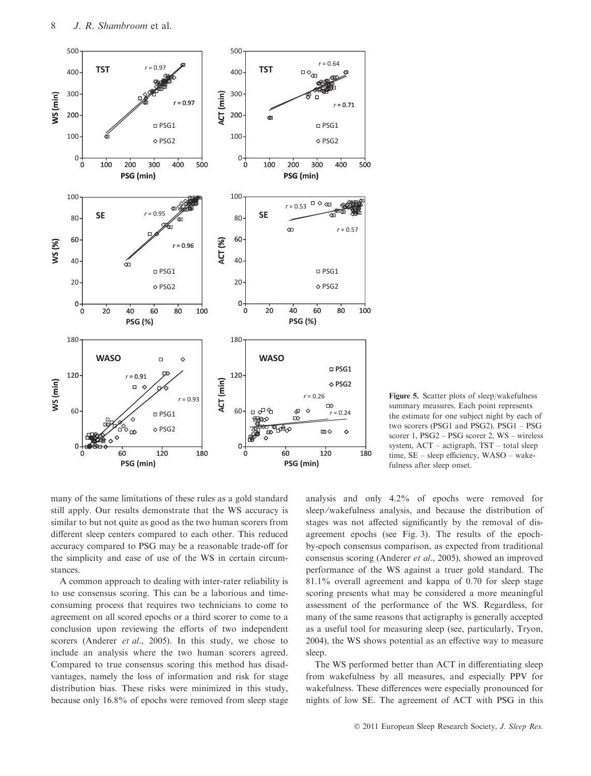

Figure 5. Scatter plots of sleep/wakefulness summary measures. Each point represents the estimate for one subject night by each of two scorers (PSG1 and PSG2). PSG1 – PSG scorer 1, PSG2 – PSG scorer 2, WS – wireless system, ACT – actigraph, TST – total sleep time, SE – sleep efficiency, WASO – wakefulness after sleep onset.

many of the same limitations of these rules as a gold standard still apply. Our results demonstrate that the WS accuracy is similar to but not quite as good as the two human scorers from different sleep centers compared to each other. This reduced accuracy compared to PSG may be a reasonable trade-off for the simplicity and ease of use of the WS in certain circumstances.

A common approach to dealing with inter-rater reliability is to use consensus scoring. This can be a laborious and timeconsuming process that requires two technicians to come to agreement on all scored epochs or a third scorer to come to a conclusion upon reviewing the efforts of two independent scorers (Anderer et al., 2005). In this study, we chose to include an analysis where the two human scorers agreed. Compared to true consensus scoring this method has disadvantages, namely the loss of information and risk for stage distribution bias. These risks were minimized in this study, because only 16.8% of epochs were removed from sleep stage analysis and only 4.2% of epochs were removed for sleep/wakefulness analysis, and because the distribution of stages was not affected significantly by the removal of disagreement epochs (see Fig. 3). The results of the epochby-epoch consensus comparison, as expected from traditional consensus scoring (Anderer et al., 2005), showed an improved performance of the WS against a truer gold standard. The 81.1% overall agreement and kappa of 0.70 for sleep stage scoring presents what may be considered a more meaningful assessment of the performance of the WS. Regardless, for many of the same reasons that actigraphy is generally accepted as a useful tool for measuring sleep (see, particularly, Tryon, 2004), the WS shows potential as an effective way to measure sleep.

The WS performed better than ACT in differentiating sleep from wakefulness by all measures, and especially PPV for wakefulness. These differences were especially pronounced for nights of low SE. The agreement of ACT with PSG in this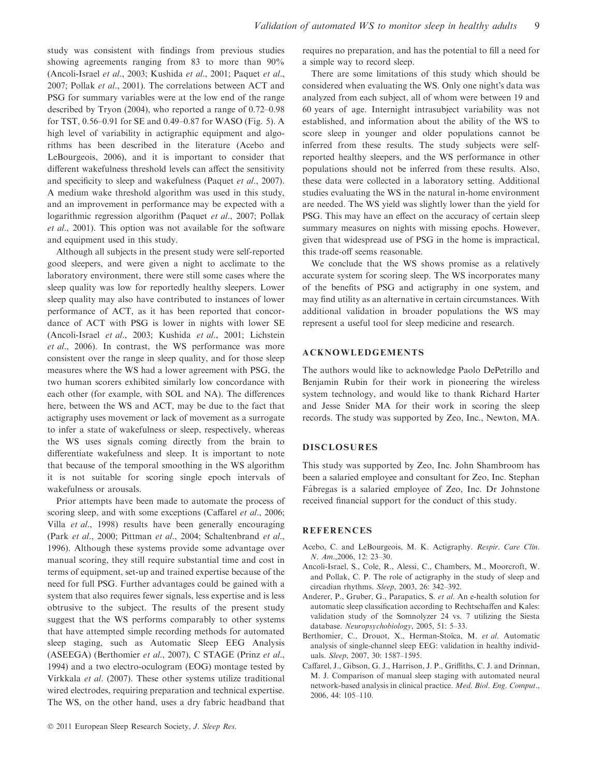study was consistent with findings from previous studies showing agreements ranging from 83 to more than 90% (Ancoli-Israel et al., 2003; Kushida et al., 2001; Paquet et al., 2007; Pollak et al., 2001). The correlations between ACT and PSG for summary variables were at the low end of the range described by Tryon (2004), who reported a range of 0.72–0.98 for TST, 0.56–0.91 for SE and 0.49–0.87 for WASO (Fig. 5). A high level of variability in actigraphic equipment and algorithms has been described in the literature (Acebo and LeBourgeois, 2006), and it is important to consider that different wakefulness threshold levels can affect the sensitivity and specificity to sleep and wakefulness (Paquet et al., 2007). A medium wake threshold algorithm was used in this study, and an improvement in performance may be expected with a logarithmic regression algorithm (Paquet et al., 2007; Pollak et al., 2001). This option was not available for the software and equipment used in this study.

Although all subjects in the present study were self-reported good sleepers, and were given a night to acclimate to the laboratory environment, there were still some cases where the sleep quality was low for reportedly healthy sleepers. Lower sleep quality may also have contributed to instances of lower performance of ACT, as it has been reported that concordance of ACT with PSG is lower in nights with lower SE (Ancoli-Israel et al., 2003; Kushida et al., 2001; Lichstein et al., 2006). In contrast, the WS performance was more consistent over the range in sleep quality, and for those sleep measures where the WS had a lower agreement with PSG, the two human scorers exhibited similarly low concordance with each other (for example, with SOL and NA). The differences here, between the WS and ACT, may be due to the fact that actigraphy uses movement or lack of movement as a surrogate to infer a state of wakefulness or sleep, respectively, whereas the WS uses signals coming directly from the brain to differentiate wakefulness and sleep. It is important to note that because of the temporal smoothing in the WS algorithm it is not suitable for scoring single epoch intervals of wakefulness or arousals.

Prior attempts have been made to automate the process of scoring sleep, and with some exceptions (Caffarel et al., 2006; Villa et al., 1998) results have been generally encouraging (Park et al., 2000; Pittman et al., 2004; Schaltenbrand et al., 1996). Although these systems provide some advantage over manual scoring, they still require substantial time and cost in terms of equipment, set-up and trained expertise because of the need for full PSG. Further advantages could be gained with a system that also requires fewer signals, less expertise and is less obtrusive to the subject. The results of the present study suggest that the WS performs comparably to other systems that have attempted simple recording methods for automated sleep staging, such as Automatic Sleep EEG Analysis (ASEEGA) (Berthomier et al., 2007), C STAGE (Prinz et al., 1994) and a two electro-oculogram (EOG) montage tested by Virkkala et al. (2007). These other systems utilize traditional wired electrodes, requiring preparation and technical expertise. The WS, on the other hand, uses a dry fabric headband that

requires no preparation, and has the potential to fill a need for a simple way to record sleep.

There are some limitations of this study which should be considered when evaluating the WS. Only one night's data was analyzed from each subject, all of whom were between 19 and 60 years of age. Internight intrasubject variability was not established, and information about the ability of the WS to score sleep in younger and older populations cannot be inferred from these results. The study subjects were selfreported healthy sleepers, and the WS performance in other populations should not be inferred from these results. Also, these data were collected in a laboratory setting. Additional studies evaluating the WS in the natural in-home environment are needed. The WS yield was slightly lower than the yield for PSG. This may have an effect on the accuracy of certain sleep summary measures on nights with missing epochs. However, given that widespread use of PSG in the home is impractical, this trade-off seems reasonable.

We conclude that the WS shows promise as a relatively accurate system for scoring sleep. The WS incorporates many of the benefits of PSG and actigraphy in one system, and may find utility as an alternative in certain circumstances. With additional validation in broader populations the WS may represent a useful tool for sleep medicine and research.

## ACKNOWLEDGEMENTS

The authors would like to acknowledge Paolo DePetrillo and Benjamin Rubin for their work in pioneering the wireless system technology, and would like to thank Richard Harter and Jesse Snider MA for their work in scoring the sleep records. The study was supported by Zeo, Inc., Newton, MA.

## DISCLOSURES

This study was supported by Zeo, Inc. John Shambroom has been a salaried employee and consultant for Zeo, Inc. Stephan Fábregas is a salaried employee of Zeo, Inc. Dr Johnstone received financial support for the conduct of this study.

#### REFERENCES

- Acebo, C. and LeBourgeois, M. K. Actigraphy. Respir. Care Clin. N. Am.,2006, 12: 23–30.
- Ancoli-Israel, S., Cole, R., Alessi, C., Chambers, M., Moorcroft, W. and Pollak, C. P. The role of actigraphy in the study of sleep and circadian rhythms. Sleep, 2003, 26: 342–392.
- Anderer, P., Gruber, G., Parapatics, S. et al. An e-health solution for automatic sleep classification according to Rechtschaffen and Kales: validation study of the Somnolyzer 24 vs. 7 utilizing the Siesta database. Neuropsychobiology, 2005, 51: 5–33.
- Berthomier, C., Drouot, X., Herman-Stoïca, M. et al. Automatic analysis of single-channel sleep EEG: validation in healthy individuals. Sleep, 2007, 30: 1587–1595.
- Caffarel, J., Gibson, G. J., Harrison, J. P., Griffiths, C. J. and Drinnan, M. J. Comparison of manual sleep staging with automated neural network-based analysis in clinical practice. Med. Biol. Eng. Comput., 2006, 44: 105–110.